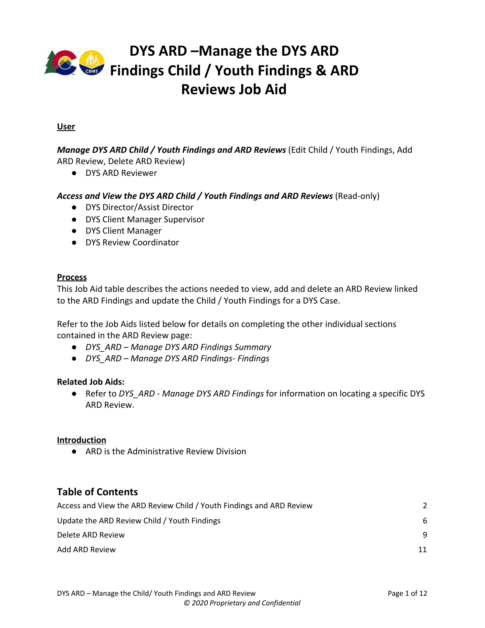

### **User**

*Manage DYS ARD Child / Youth Findings and ARD Reviews* (Edit Child / Youth Findings, Add ARD Review, Delete ARD Review)

● DYS ARD Reviewer

## Access and View the DYS ARD Child / Youth Findings and ARD Reviews (Read-only)

- DYS Director/Assist Director
- DYS Client Manager Supervisor
- DYS Client Manager
- DYS Review Coordinator

#### **Process**

This Job Aid table describes the actions needed to view, add and delete an ARD Review linked to the ARD Findings and update the Child / Youth Findings for a DYS Case.

Refer to the Job Aids listed below for details on completing the other individual sections contained in the ARD Review page:

- *DYS\_ARD Manage DYS ARD Findings Summary*
- *DYS\_ARD Manage DYS ARD Findings- Findings*

#### **Related Job Aids:**

*●* Refer to *DYS\_ARD - Manage DYS ARD Findings* for information on locating a specific DYS ARD Review.

### **Introduction**

● ARD is the Administrative Review Division

## **Table of Contents**

| Access and View the ARD Review Child / Youth Findings and ARD Review |    |
|----------------------------------------------------------------------|----|
| Update the ARD Review Child / Youth Findings                         | 6  |
| Delete ARD Review                                                    | -9 |
| Add ARD Review                                                       | 11 |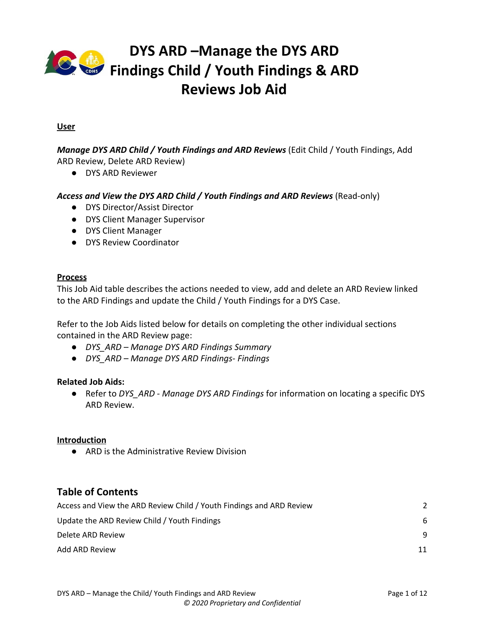

## <span id="page-1-0"></span>**Access and View the ARD Review Child / Youth Findings and ARD Review**

The panel displays the Child / Youth Findings and the ARD Review associated to the ARD Findings.

● If there is not an ARD Review linked to the ARD Findings no information displays in the panel.

| Steps/Output                                                                                                                                                                | <b>Screenshot</b>                                                                                                                                                                                                                                                                                                                                                                                                                                                                                                                                                                                                                                                       |
|-----------------------------------------------------------------------------------------------------------------------------------------------------------------------------|-------------------------------------------------------------------------------------------------------------------------------------------------------------------------------------------------------------------------------------------------------------------------------------------------------------------------------------------------------------------------------------------------------------------------------------------------------------------------------------------------------------------------------------------------------------------------------------------------------------------------------------------------------------------------|
| Refer to the DYS ARD - Manage<br>DYS ARD Findings Job Aid for<br>details on locating the desired<br>ARD Findings.<br>On the ARD Findings page:                              | cyfmu2<br>$A$ cour<br>COLORADO<br><b>co</b><br><b>Department of Human Services</b><br>$\overline{6}$<br>Welcome. Cei Oa Te<br>DYS ARD Reviews 2251729<br>ARD Findings 1553416<br>Workspace<br><b>Back to Workspace</b><br>Show Menu<br>ARD Findings - DVJMWRASKAMZ YEDFSSACUGV - 6/11/2020<br>Child/Youth Findings & ARD<br><b>Actions v</b><br><b>Summary</b><br>Findings<br>Findings Date*<br>Findings Type*<br><b>Family Name</b><br>Case ID<br>Child Welfare Delinquer<br>6/11/2020<br>DVJMWRASKAMZ YEDFSS<br>1832144<br>Safety Issue for follow-up?'<br>All Parties Invited?"<br><b>Issues for Regional Director?</b><br>Permanency Hearing?"<br>No:<br>No.<br>No. |
| Navigate to the Child/Youth<br>Findings & ARD Reviews section<br>by clicking the links in the left<br>navigation panel or using the<br>scroll bar at the right of the page. | Requires Region Response?<br><b>Child/Youth Findings &amp; ARD Reviews</b><br>Actions $\mathbf{v}$ –<br>Client ID Review Date Reviewer Perm. Goal Incorrect? Active Perm. Goal Anon. Goal Date Incorrect? Co<br>Name<br>2251729 6/19/2019<br>Ozjgtanimy<br>Leslie F<br>Select<br>Mascarenas<br>Bgstkjartjl<br>Xidsaadmdbw<br>Findings<br>Save<br>Permanency Goal                                                                                                                                                                                                                                                                                                        |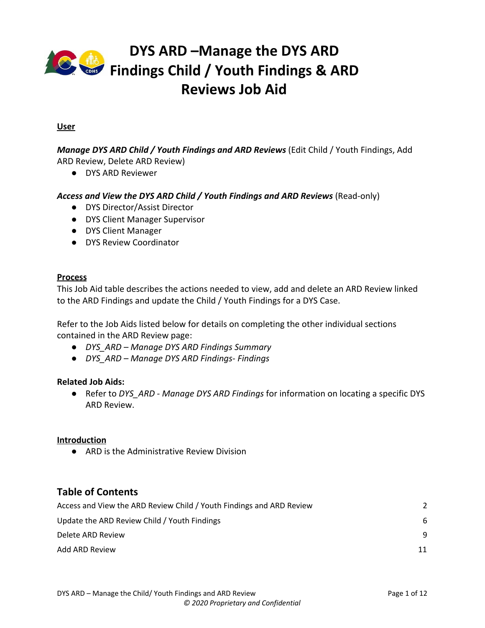

| In the Child / Youth Findings &<br><b>ARD Reviews section:</b>                                            |  |
|-----------------------------------------------------------------------------------------------------------|--|
| The Child / Youth Findings for the<br>DYS ARD Findings display.                                           |  |
| 1. (Optional) Click the name in<br>the Name column to open the<br>Client Record for the Child /<br>Youth. |  |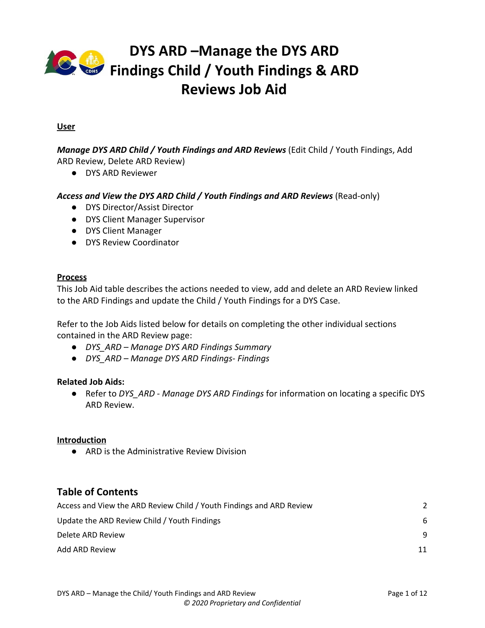

# **DYS ARD –Manage the DYS ARD Findings Child** / **Youth Findings** & ARD **Reviews Job Aid**

|    | The Client Record for the Child /<br>Youth opens in a new Record tab.                                         | COLORADO<br>$\frac{1}{\cos \theta}$<br><b>Back to Workspace</b><br>$\epsilon$          | Workspace                                                     | ARD Findings 1553416<br>$\times$ DYS ARD Reviews 2251729 | cyfmu2<br>Welcome, Cgi Qa Test5 (Logout)<br>$\bullet$<br>$\bullet$<br>Client 2251729 |
|----|---------------------------------------------------------------------------------------------------------------|----------------------------------------------------------------------------------------|---------------------------------------------------------------|----------------------------------------------------------|--------------------------------------------------------------------------------------|
|    |                                                                                                               | $\equiv$ Show Mer<br>Client Demographics                                               | Client Record: Ozjgtanimy Xidsaadmdbw<br>Client ID            | <b>Created Date</b>                                      | Created By                                                                           |
| 2. | Click the ARD Findings record<br>tab to return to the ARD                                                     | Ethnicity<br>Birthplace<br>Legal Status<br>Citizenship<br>Household Living Arrangement | 2251729                                                       | 3/14/2008                                                |                                                                                      |
|    | Findings.                                                                                                     | Relationships<br>Address<br>Phone Number                                               | <b>Client Demographics</b>                                    |                                                          |                                                                                      |
|    |                                                                                                               | Email<br>Alias                                                                         | State ID<br>Y408748                                           | Expunge                                                  | Prefix                                                                               |
|    |                                                                                                               |                                                                                        | First Name*                                                   | Middle Name                                              | Last Name"                                                                           |
|    |                                                                                                               |                                                                                        | Ozjgtanimy                                                    | Bgstkjartjl                                              | Xidsaadmdby                                                                          |
|    |                                                                                                               |                                                                                        | Suffix                                                        | Trans-Gender Identity                                    | Gender Identity*                                                                     |
|    |                                                                                                               |                                                                                        |                                                               | Male<br>$\check{~}$                                      | Male<br>$\checkmark$                                                                 |
|    |                                                                                                               |                                                                                        | Sexual Orientation<br>$\checkmark$<br>Do Not Know/Questioning | Preferred Gender Pronoun*<br>He/Him<br>$\checkmark$      | Marital or Domestic Partnership Status<br>Single<br>$\check{~}$                      |
|    |                                                                                                               |                                                                                        | SSN                                                           | Date of Birth*                                           | Date of Birth estimated?                                                             |
|    |                                                                                                               |                                                                                        | 161-00-7582                                                   | 白<br>6/17/2000                                           | No                                                                                   |
|    |                                                                                                               |                                                                                        | Date of Death                                                 | Religion                                                 | <b>Hair Color</b>                                                                    |
|    |                                                                                                               |                                                                                        | 自<br><b>MM/DD/YYYY</b>                                        | None<br>$\checkmark$                                     | Brown<br>$\checkmark$                                                                |
|    |                                                                                                               |                                                                                        | Eye Color                                                     | Height                                                   | Weight<br>Save                                                                       |
|    | 3. (Optional) Click the date in the<br>Review Date column to open<br>the ARD Review for the Child /<br>Youth. |                                                                                        |                                                               |                                                          |                                                                                      |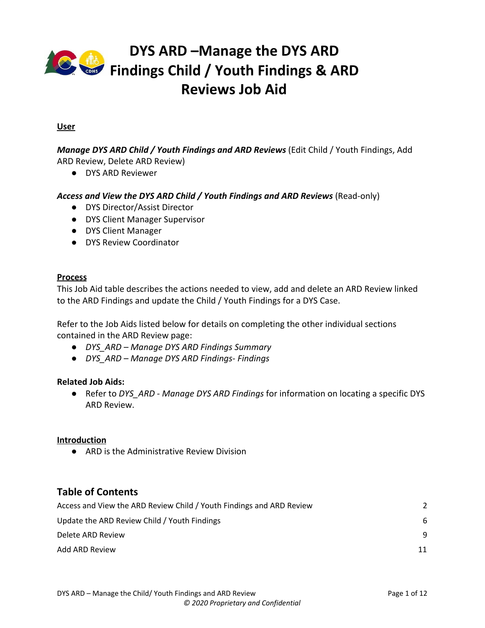

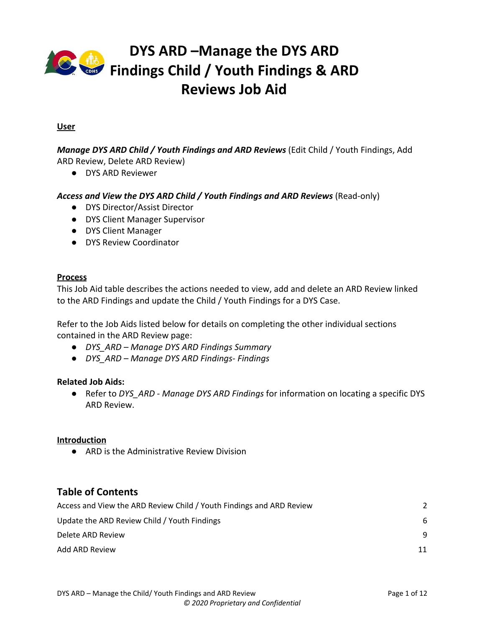

# <span id="page-5-0"></span>**Update the ARD Review Child / Youth Findings**

- The Child / Youth from the ARD Review displays Client's First Name, Middle Name, Last Name, and Suffix.
- The **Review Date** displays the Review Date from the ARD Review.
- The **Reviewer** displays the Reviewer from the ARD Review.

| Steps/Output                                                          | <b>Screenshot</b>                                                                                                                                                                                                                                                                                                                                                                                                                          |
|-----------------------------------------------------------------------|--------------------------------------------------------------------------------------------------------------------------------------------------------------------------------------------------------------------------------------------------------------------------------------------------------------------------------------------------------------------------------------------------------------------------------------------|
| In the Child / Youth Findings &<br><b>ARD Reviews section:</b>        | Welcome, Cgi Qa Test5 (Logout) <b>4<sup>25</sup> (Oyfmu2</b><br>COLORADO<br>ARD Findings 1553416<br>Workspace<br>$\rightarrow$<br>DYS ARD Reviews 2251729<br>$\!\times\!$                                                                                                                                                                                                                                                                  |
| Make updates as necessary.<br>1.                                      | Child/Youth Findings & ARD Reviews<br><b>Actions v</b><br>Client IDReview Date Reviewer Perm, Goal Incorrect? Active Perm, Goal Anon.Goal Date Incorrect? Correct Goal Date<br>Name<br>Ozigtanimy<br>2251729 6/19/2019<br>Leslie H<br>N <sub>N</sub><br>$\sqrt{N}$<br>$\mathbb{R}$<br>曲<br>Select<br>$\checkmark$<br>MM/DD/YYYY<br>Bgstkjartjl<br>Mascarenas<br>Kidsaadn<br>Findings                                                       |
|                                                                       | Permanency Goal<br>Select<br>Best Interest/Reasonable Efforts<br>Select                                                                                                                                                                                                                                                                                                                                                                    |
|                                                                       | Child/Family Progress/Issues<br>Select                                                                                                                                                                                                                                                                                                                                                                                                     |
|                                                                       | Safety Issues<br>elect<br>Save                                                                                                                                                                                                                                                                                                                                                                                                             |
| If the Perm Goal Incorrect? toggle                                    | cvfmu2<br>$\frac{4}{100}$<br>COLORADO<br>Welcome, Cgi Qa Test5 (Logout)<br>G<br>Q                                                                                                                                                                                                                                                                                                                                                          |
| is set to Yes, the Active Perm Goal<br>field is enabled and required. | DYS ARD Reviews 2251729<br>ARD Findings 1553416<br>Workspace<br>$\mathbb{R}$<br><b>Child/Youth Findings &amp; ARD Reviews</b><br><b>Actions v</b><br>Goal Date Incorrect? Correct Goal Date                                                                                                                                                                                                                                                |
| 2. Select the appropriate option<br>from the drop-down list.          | Client IDReview Date Revier<br>Name<br>Ozjgtanimy<br>2251729 6/19/2019<br>Leslie H<br>YNYN<br>Y.<br>Ū<br>MM/DD/YYYY<br>Select<br>$\checkmark$<br>Bgstkjartjl<br>Mascarer<br>Xidsaar<br>Leg Guard/Perm Custody-non relativ<br>Other Pind Perm Live Arr/Non Rel LT FC<br>Other Pind Perm Livy Announ North TO<br>Other Pind Perm Livy AnnRel LT Fos Care<br>Other Pind Perm Living AnnEmancipation<br>Findings<br>Perm Plmt w/Relative-Adont |
| Note: If the Perm Goal Incorrect?<br>toggle is set to No, the Active  | <br>Perm Pimt w/Relative-Leg Guard/Perm Cus<br>Permanency Goal<br>Select<br>Remain Home<br>Return Home<br>Return Home from Kinship Care<br>Return Home via Reinst of Parental Rights                                                                                                                                                                                                                                                       |
| Perm Goal field remains blank<br>and disabled.                        | Best Interest/Reasonable Efforts<br>Select                                                                                                                                                                                                                                                                                                                                                                                                 |
|                                                                       | Child/Family Progress/Issues<br>Select                                                                                                                                                                                                                                                                                                                                                                                                     |
|                                                                       | Safety Issues<br>Save                                                                                                                                                                                                                                                                                                                                                                                                                      |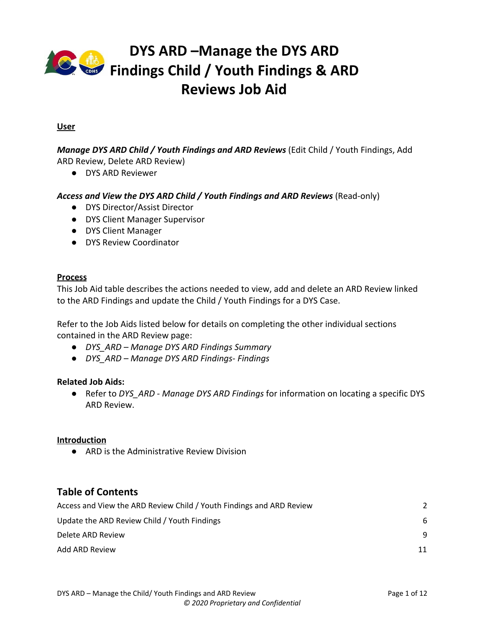

# **DYS ARD –Manage the DYS ARD Findings Child / Youth Findings & ARD Reviews Job Aid**

| If the Goal Date Incorrect? toggle               | COLORADO<br>Welcome, Cgi Qa Test5 (Logout)                                                                                                    | 8                                                                           |
|--------------------------------------------------|-----------------------------------------------------------------------------------------------------------------------------------------------|-----------------------------------------------------------------------------|
| is set to Yes, the Correct Goal                  | DYS ARD Reviews 2251729<br>Workspace<br>$\mathbb{R}$                                                                                          | ARD Findings 1553416                                                        |
| Date field is enabled and                        | Child/Youth Findings & ARD Reviews                                                                                                            | <b>Actions v</b>                                                            |
| required.                                        | Name<br>Client IDReview Date Reviewer Perm. Goal Incorrect? Active Perm. Goal                                                                 | Incorrect? Correct Goal Date                                                |
|                                                  | <b>TYN</b><br>2251729 6/19/2019 Leslie H<br>Ozjgtanimy<br>$Y$ is<br>Other Pind Perr $\sqrt{}$<br>Mascarenas<br>Bgstkjartjl<br>Xidsaadmdby     | MM/DD/YYY<br>Û<br>$\bullet$ Jun<br>$\vee$ 2020 $\vee$ 0                     |
| 3. Enter or select the                           | <b>Findings</b>                                                                                                                               | Su Mo Tu We Th Fr Sa<br>$1 \quad 2 \quad 3 \quad 4 \quad 5 \quad 6$         |
| appropriate date using the<br>calendar function. | Permanency Goal                                                                                                                               | 8 9 10 11 12 13<br>14   15   16   17   18   19   20<br>21 22 23 24 25 26 27 |
|                                                  |                                                                                                                                               | 28 29 30                                                                    |
| Note: If the Goal Date Incorrect?                | Best Interest/Reasonable Efforts                                                                                                              | Selec                                                                       |
| toggle is set to No, the Correct                 |                                                                                                                                               |                                                                             |
| <b>Goal Date is remains blank and</b>            | Child/Family Progress/Issues                                                                                                                  | Select                                                                      |
| disabled.                                        |                                                                                                                                               |                                                                             |
|                                                  | Safety Issues                                                                                                                                 | Save                                                                        |
|                                                  |                                                                                                                                               |                                                                             |
| Once all updates are complete:                   | COLORADO<br>$\frac{4}{100}$<br>Welcome, Cgi Qa Test5 (Logout)                                                                                 | $\overset{\text{cytmu2}}{\bullet}$                                          |
|                                                  | $\mathbf{x}$<br>DYS ARD Reviews 2251729<br>Workspace                                                                                          | ARD Findings 1553416                                                        |
| 4. Click Save.                                   | Child/Youth Findings & ARD Reviews                                                                                                            | <b>Actions v</b>                                                            |
|                                                  | Client ID Review Date Reviewer Perm. Goal Incorrect? Active Perm. Goal Anon. Goal Date Incorrect? Correct Goal Date<br>Name                   |                                                                             |
|                                                  |                                                                                                                                               |                                                                             |
| This opens the Save Successful                   | 2251729 6/19/2019 Leslie H<br>Ozjgtanimy<br>$Y$ N<br>$\mathbf{Y}$<br> Y <br>Other Pind Perr $\vee$<br>Bgstkjartjl<br>Mascarenas<br>Xidsaadmdb | Ū<br>6/10/2020                                                              |
| pop-up window.                                   | Findings                                                                                                                                      |                                                                             |
|                                                  | Permanency Goal                                                                                                                               | Selec                                                                       |
|                                                  |                                                                                                                                               |                                                                             |
|                                                  | Best Interest/Reasonable Efforts                                                                                                              | Select                                                                      |
|                                                  |                                                                                                                                               |                                                                             |
|                                                  | Child/Family Progress/Issues                                                                                                                  | Select                                                                      |
|                                                  |                                                                                                                                               |                                                                             |
|                                                  | Safety Issues                                                                                                                                 | Save                                                                        |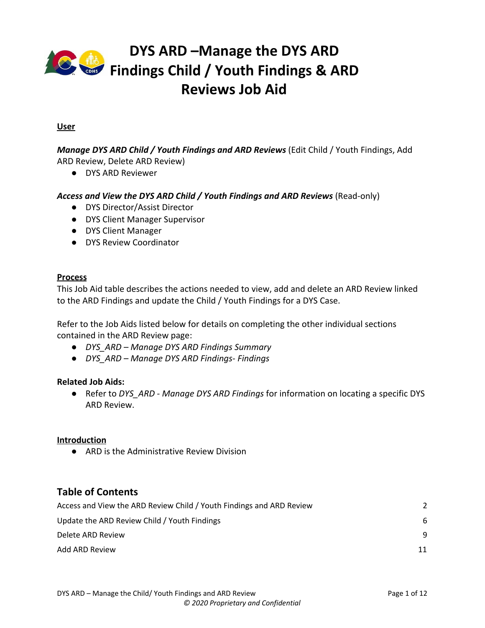

In the *Save Successful* pop-up window:

5. Click **Ok** to continue.

| $\mathcal{P}$ | Workspace                                                     | ARD Findings saved successfully. |                           | ARD Findings 1553416                                                                 |               |
|---------------|---------------------------------------------------------------|----------------------------------|---------------------------|--------------------------------------------------------------------------------------|---------------|
|               | <b>Child/Youth Findings &amp; ARD Rev</b>                     |                                  | Ok                        | Actions v —                                                                          |               |
|               | Client ID Review Date Reviewer<br>Name                        |                                  |                           | Perm. Goal Incorrect? Active Perm. Goal Anon. Goal Date Incorrect? Correct Goal Date |               |
|               | Ozjgtanimy<br>2251729 6/19/2019<br>Bgstkjartjl<br>Xidsaadmdbw | Leslie H<br>Y.<br>Mascarenas     | YNYK<br>Other PInd Perr V | dida<br>6/10/2020                                                                    | <sup>®</sup>  |
|               | <b>Findings</b>                                               |                                  |                           |                                                                                      |               |
|               | Permanency Goal                                               |                                  |                           |                                                                                      | Select        |
|               |                                                               |                                  |                           |                                                                                      |               |
|               | Best Interest/Reasonable Efforts                              |                                  |                           |                                                                                      | Select        |
|               |                                                               |                                  |                           |                                                                                      |               |
|               | Child/Family Progress/Issues                                  |                                  |                           |                                                                                      | Select        |
|               |                                                               |                                  |                           |                                                                                      |               |
|               | Safety Issues                                                 |                                  |                           | Save                                                                                 | <b>Telect</b> |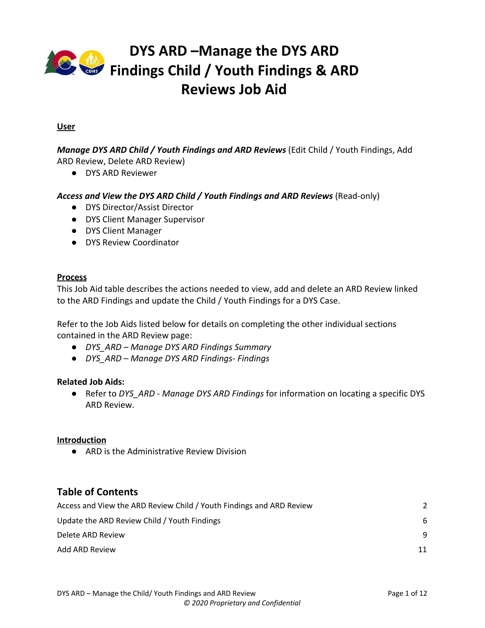

## <span id="page-8-0"></span>**Delete ARD Review**

| Steps/Output                                                                                                                                                                                                                                 | <b>Screenshot</b>                                                                                                                                                                                                                                                                                                                                                                                                                                                                                                                                                                                                                                                                                                                        |
|----------------------------------------------------------------------------------------------------------------------------------------------------------------------------------------------------------------------------------------------|------------------------------------------------------------------------------------------------------------------------------------------------------------------------------------------------------------------------------------------------------------------------------------------------------------------------------------------------------------------------------------------------------------------------------------------------------------------------------------------------------------------------------------------------------------------------------------------------------------------------------------------------------------------------------------------------------------------------------------------|
| In the Child / Youth Findings &<br><b>ARD Reviews section:</b><br>1. Confirm this is appropriate<br>ARD Review to delete.<br>2. Click the Trash Can icon to the<br>far right of the record.<br>This opens a Confirm Delete<br>pop-up window. | CO PADO<br>.<br>Welcome<br>Workspace<br>DYS ARD Reviews 2251729<br>$\overline{\mathbf{x}}$<br>ARD Findings 1553416<br><b>Child/Youth Findings &amp; ARD Reviews</b><br><b>Actions v</b><br>Name<br>Client ID Review Date Reviewer<br>Perm, Goal Incorrect? Active Perm, Goal Anon, Goal Date Incorrect? Correct Goal Date<br>2251729 6/19/2019<br>Leslie H<br>Ozigtanimy<br>Y<br>Y<br>YN<br>Other Pind Perr V<br>$\blacksquare$<br>6/10/2020<br>Bgstkjartjl<br>Mascarenas<br><b>Xidsaadmdh</b><br>Findings<br>Permanency Goal<br>Selec<br>Best Interest/Reasonable Efforts<br>Select<br>Child/Family Progress/Issues<br>Select<br>Safety Issues<br>elect<br>Save                                                                         |
| In the Confirm Delete pop-up<br>window:<br>3. Select Yes, Delete to delete<br>the ARD Review from this ARD<br>Findings or Cancel to return to<br>the ARD Findings page.                                                                      | COLORADO<br>$\frac{1}{100}$<br>$\bullet$ 8<br>േ<br><b>Confirm Delete</b><br>Are you sure you want to remove this ARD Review from the ARD Finding?<br>ARD Findings 1553416<br>Workspace<br>No<br><b>Yes, Delete</b><br>Child/Youth Findings & ARD R<br>Actions <b>v</b><br>Anon. Goal Date Incorrect? Correct Goal Date<br>Client ID Review Date Reviewer Perm. Goal Incorrect? Active Perm. Goal<br>Name<br>Ozjgtanimy<br>2251729 6/19/2019<br>Leslie H<br>YKYN<br>YN<br>Other Pind Perr V<br>6/10/2020              <br>Bgstkjartjl<br>Mascarenas<br>Xidsaadm<br><b>Findings</b><br>Permanency Goal<br>Select<br>Best Interest/Reasonable Efforts<br>Select<br>Child/Family Progress/Issues<br>Select<br>Safety Issues<br>elect<br>Save |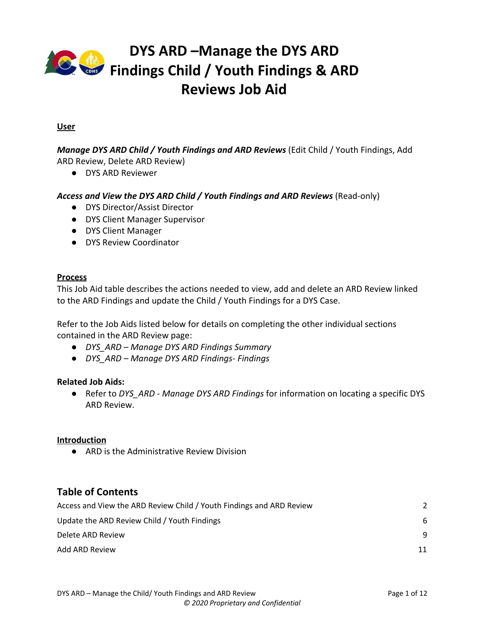

Once the ARD Review is deleted and the *Child / Youth Findings & ARD Reviews* section displays blank.

| Workspace                                     | DYS ARD Reviews 2251729<br>$\times$ | ARD Findings 1553416<br>$\times$                                                                                   |
|-----------------------------------------------|-------------------------------------|--------------------------------------------------------------------------------------------------------------------|
| <b>Child/Youth Findings &amp; ARD Reviews</b> |                                     | Actions v —                                                                                                        |
| Name<br>No information available              |                                     | Client IDReview Date Reviewer Perm. Goal Incorrect? Active Perm. Goal Anon. Goal Date Incorrect? Correct Goal Date |
|                                               |                                     |                                                                                                                    |
| <b>Findings</b>                               |                                     |                                                                                                                    |
| Permanency Goal                               |                                     | Select                                                                                                             |
| Best Interest/Reasonable Efforts              |                                     | Select                                                                                                             |
| Child/Family Progress/Issues                  |                                     | Select                                                                                                             |
|                                               |                                     |                                                                                                                    |
| Safety Issues                                 |                                     | Select                                                                                                             |
|                                               |                                     | Save                                                                                                               |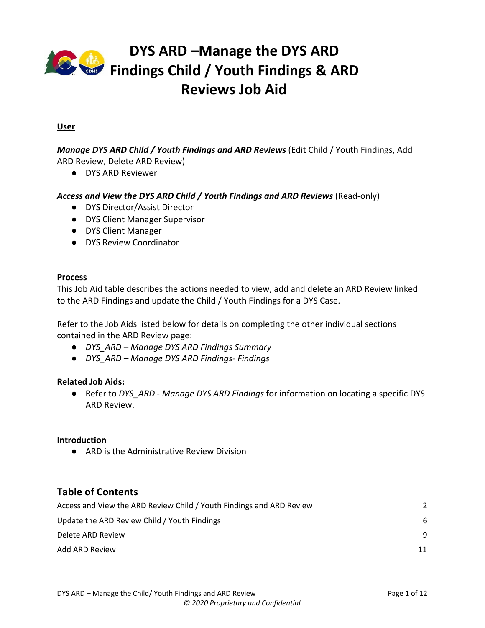

## <span id="page-10-0"></span>**Add ARD Review**

● Only one ARD Review can be associated to an ARD Findings on a DYS Case.

| Steps/Output                                                                                                                        | <b>Screenshot</b>                                                                                                                                                                                            |
|-------------------------------------------------------------------------------------------------------------------------------------|--------------------------------------------------------------------------------------------------------------------------------------------------------------------------------------------------------------|
| In the Child / Youth Findings &<br><b>ARD Reviews section:</b>                                                                      | COLORADO<br>$\frac{4}{100}$<br>Welcome, Cgi Qa Test5 (Logout)<br>$\bullet$<br>$\bullet$<br>DYS ARD Reviews 2251729<br>ARD Findings 1553416<br>Workspace                                                      |
| 1. Click the Actions drop-down<br>arrow.<br>2. Select Add ARD Review.                                                               | <b>Child/Youth Findings &amp; ARD Reviews</b><br><b>Add ARD Review</b><br>Perm. Goal Incorrect? Active Perm. Goal<br>Anon, Goal Date In<br>Client IDReview Date Reviewer<br>Name<br>No information available |
|                                                                                                                                     | Findings<br>Permanency Goal<br>Select                                                                                                                                                                        |
| This opens the Add ARD Reviews<br>pop-up window.                                                                                    | Best Interest/Reasonable Efforts<br>Select                                                                                                                                                                   |
|                                                                                                                                     | Child/Family Progress/Issues<br>Select                                                                                                                                                                       |
|                                                                                                                                     | Safety Issues<br>Select<br>Save                                                                                                                                                                              |
|                                                                                                                                     |                                                                                                                                                                                                              |
| In the Add ARD Reviews pop-up<br>window:                                                                                            |                                                                                                                                                                                                              |
| 3. Select the radio button of the<br>appropriate ARD Review.                                                                        |                                                                                                                                                                                                              |
| <b>Note: The ARD Reviews that</b><br>display are not connected to any<br>ARD Findings and are linked to an<br>ARD Scheduled Review. |                                                                                                                                                                                                              |
|                                                                                                                                     |                                                                                                                                                                                                              |
|                                                                                                                                     |                                                                                                                                                                                                              |